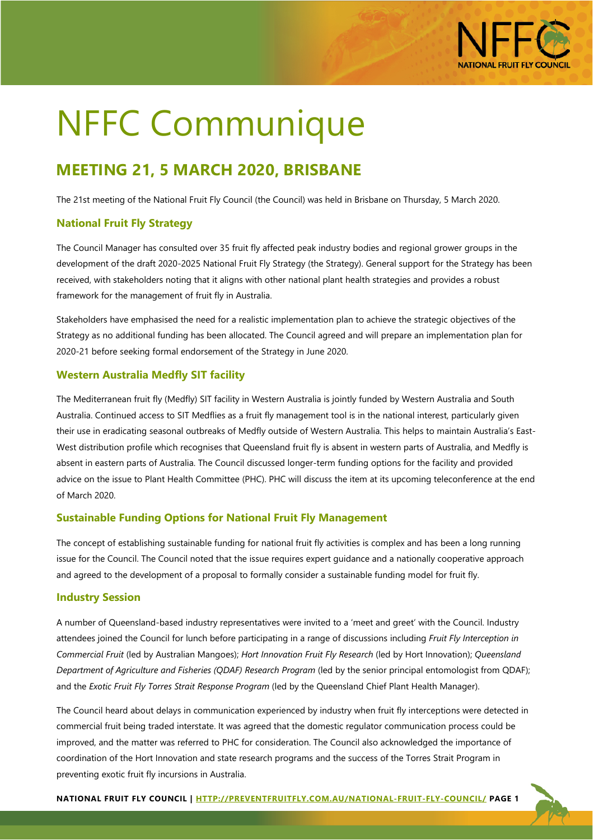

# NFFC Communique

# **MEETING 21, 5 MARCH 2020, BRISBANE**

The 21st meeting of the National Fruit Fly Council (the Council) was held in Brisbane on Thursday, 5 March 2020.

# **National Fruit Fly Strategy**

The Council Manager has consulted over 35 fruit fly affected peak industry bodies and regional grower groups in the development of the draft 2020-2025 National Fruit Fly Strategy (the Strategy). General support for the Strategy has been received, with stakeholders noting that it aligns with other national plant health strategies and provides a robust framework for the management of fruit fly in Australia.

Stakeholders have emphasised the need for a realistic implementation plan to achieve the strategic objectives of the Strategy as no additional funding has been allocated. The Council agreed and will prepare an implementation plan for 2020-21 before seeking formal endorsement of the Strategy in June 2020.

## **Western Australia Medfly SIT facility**

The Mediterranean fruit fly (Medfly) SIT facility in Western Australia is jointly funded by Western Australia and South Australia. Continued access to SIT Medflies as a fruit fly management tool is in the national interest, particularly given their use in eradicating seasonal outbreaks of Medfly outside of Western Australia. This helps to maintain Australia's East-West distribution profile which recognises that Queensland fruit fly is absent in western parts of Australia, and Medfly is absent in eastern parts of Australia. The Council discussed longer-term funding options for the facility and provided advice on the issue to Plant Health Committee (PHC). PHC will discuss the item at its upcoming teleconference at the end of March 2020.

## **Sustainable Funding Options for National Fruit Fly Management**

The concept of establishing sustainable funding for national fruit fly activities is complex and has been a long running issue for the Council. The Council noted that the issue requires expert guidance and a nationally cooperative approach and agreed to the development of a proposal to formally consider a sustainable funding model for fruit fly.

## **Industry Session**

A number of Queensland-based industry representatives were invited to a 'meet and greet' with the Council. Industry attendees joined the Council for lunch before participating in a range of discussions including *Fruit Fly Interception in Commercial Fruit* (led by Australian Mangoes); *Hort Innovation Fruit Fly Research* (led by Hort Innovation); *Queensland Department of Agriculture and Fisheries (QDAF) Research Program* (led by the senior principal entomologist from QDAF); and the *Exotic Fruit Fly Torres Strait Response Program* (led by the Queensland Chief Plant Health Manager).

The Council heard about delays in communication experienced by industry when fruit fly interceptions were detected in commercial fruit being traded interstate. It was agreed that the domestic regulator communication process could be improved, and the matter was referred to PHC for consideration. The Council also acknowledged the importance of coordination of the Hort Innovation and state research programs and the success of the Torres Strait Program in preventing exotic fruit fly incursions in Australia.